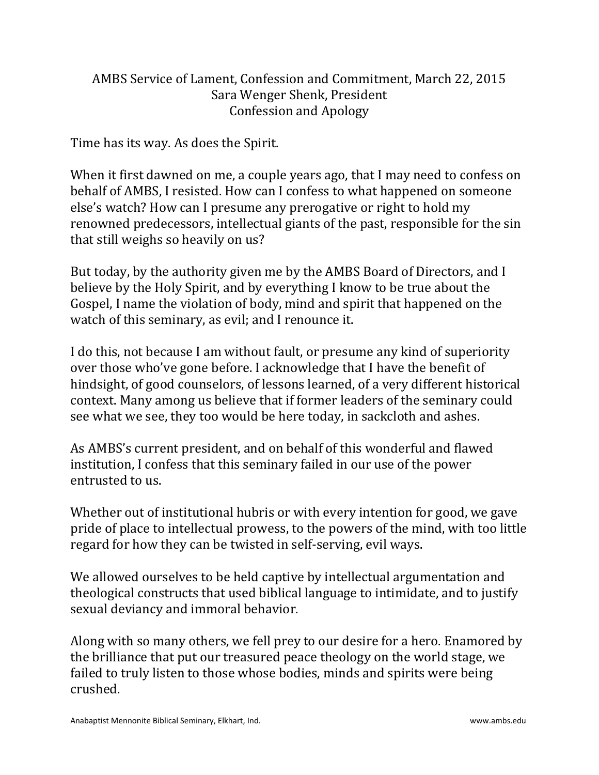## AMBS Service of Lament, Confession and Commitment, March 22, 2015 Sara Wenger Shenk, President Confession and Apology

Time has its way. As does the Spirit.

When it first dawned on me, a couple years ago, that I may need to confess on behalf of AMBS, I resisted. How can I confess to what happened on someone else's watch? How can I presume any prerogative or right to hold my renowned predecessors, intellectual giants of the past, responsible for the sin that still weighs so heavily on us?

But today, by the authority given me by the AMBS Board of Directors, and I believe by the Holy Spirit, and by everything I know to be true about the Gospel, I name the violation of body, mind and spirit that happened on the watch of this seminary, as evil; and I renounce it.

I do this, not because I am without fault, or presume any kind of superiority over those who've gone before. I acknowledge that I have the benefit of hindsight, of good counselors, of lessons learned, of a very different historical context. Many among us believe that if former leaders of the seminary could see what we see, they too would be here today, in sackcloth and ashes.

As AMBS's current president, and on behalf of this wonderful and flawed institution, I confess that this seminary failed in our use of the power entrusted to us.

Whether out of institutional hubris or with every intention for good, we gave pride of place to intellectual prowess, to the powers of the mind, with too little regard for how they can be twisted in self-serving, evil ways.

We allowed ourselves to be held captive by intellectual argumentation and theological constructs that used biblical language to intimidate, and to justify sexual deviancy and immoral behavior.

Along with so many others, we fell prey to our desire for a hero. Enamored by the brilliance that put our treasured peace theology on the world stage, we failed to truly listen to those whose bodies, minds and spirits were being crushed.